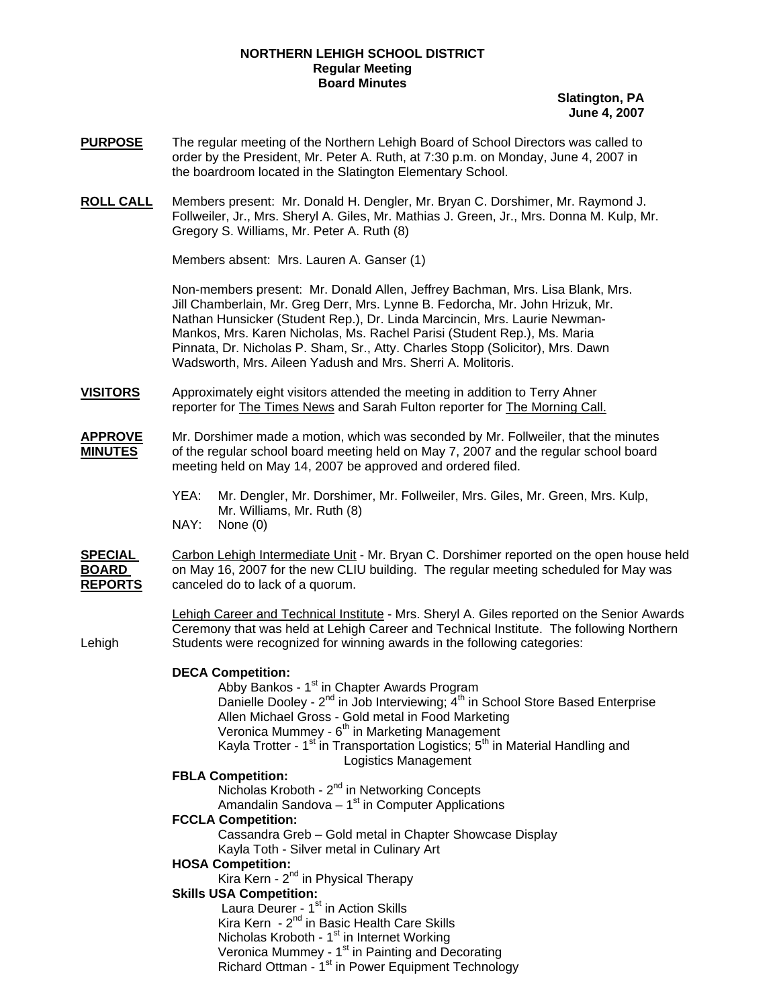### **NORTHERN LEHIGH SCHOOL DISTRICT Regular Meeting Board Minutes**

**Slatington, PA June 4, 2007**

- **PURPOSE** The regular meeting of the Northern Lehigh Board of School Directors was called to order by the President, Mr. Peter A. Ruth, at 7:30 p.m. on Monday, June 4, 2007 in the boardroom located in the Slatington Elementary School.
- **ROLL CALL** Members present: Mr. Donald H. Dengler, Mr. Bryan C. Dorshimer, Mr. Raymond J. Follweiler, Jr., Mrs. Sheryl A. Giles, Mr. Mathias J. Green, Jr., Mrs. Donna M. Kulp, Mr. Gregory S. Williams, Mr. Peter A. Ruth (8)

Members absent: Mrs. Lauren A. Ganser (1)

Non-members present: Mr. Donald Allen, Jeffrey Bachman, Mrs. Lisa Blank, Mrs. Jill Chamberlain, Mr. Greg Derr, Mrs. Lynne B. Fedorcha, Mr. John Hrizuk, Mr. Nathan Hunsicker (Student Rep.), Dr. Linda Marcincin, Mrs. Laurie Newman-Mankos, Mrs. Karen Nicholas, Ms. Rachel Parisi (Student Rep.), Ms. Maria Pinnata, Dr. Nicholas P. Sham, Sr., Atty. Charles Stopp (Solicitor), Mrs. Dawn Wadsworth, Mrs. Aileen Yadush and Mrs. Sherri A. Molitoris.

- **VISITORS** Approximately eight visitors attended the meeting in addition to Terry Ahner reporter for The Times News and Sarah Fulton reporter for The Morning Call.
- **APPROVE** Mr. Dorshimer made a motion, which was seconded by Mr. Follweiler, that the minutes **MINUTES** of the regular school board meeting held on May 7, 2007 and the regular school board meeting held on May 14, 2007 be approved and ordered filed.
	- YEA: Mr. Dengler, Mr. Dorshimer, Mr. Follweiler, Mrs. Giles, Mr. Green, Mrs. Kulp, Mr. Williams, Mr. Ruth (8) NAY: None (0)

**SPECIAL** Carbon Lehigh Intermediate Unit - Mr. Bryan C. Dorshimer reported on the open house held **BOARD** on May 16, 2007 for the new CLIU building. The regular meeting scheduled for May was **REPORTS** canceled do to lack of a quorum.

 Lehigh Career and Technical Institute - Mrs. Sheryl A. Giles reported on the Senior Awards Ceremony that was held at Lehigh Career and Technical Institute. The following Northern Lehigh Students were recognized for winning awards in the following categories:

## **DECA Competition:**

Abby Bankos - 1<sup>st</sup> in Chapter Awards Program Danielle Dooley -  $2^{nd}$  in Job Interviewing;  $4^{th}$  in School Store Based Enterprise Allen Michael Gross - Gold metal in Food Marketing Veronica Mummey - 6<sup>th</sup> in Marketing Management Kayla Trotter - 1<sup>st</sup> in Transportation Logistics; 5<sup>th</sup> in Material Handling and Logistics Management

## **FBLA Competition:**

Nicholas Kroboth - 2<sup>nd</sup> in Networking Concepts Amandalin Sandova  $-1<sup>st</sup>$  in Computer Applications

# **FCCLA Competition:**

 Cassandra Greb – Gold metal in Chapter Showcase Display Kayla Toth - Silver metal in Culinary Art

#### **HOSA Competition:**

Kira Kern -  $2^{nd}$  in Physical Therapy

## **Skills USA Competition:**

Laura Deurer - 1<sup>st</sup> in Action Skills Kira Kern - 2<sup>nd</sup> in Basic Health Care Skills Nicholas Kroboth -  $1<sup>st</sup>$  in Internet Working Veronica Mummey - 1<sup>st</sup> in Painting and Decorating Richard Ottman - 1<sup>st</sup> in Power Equipment Technology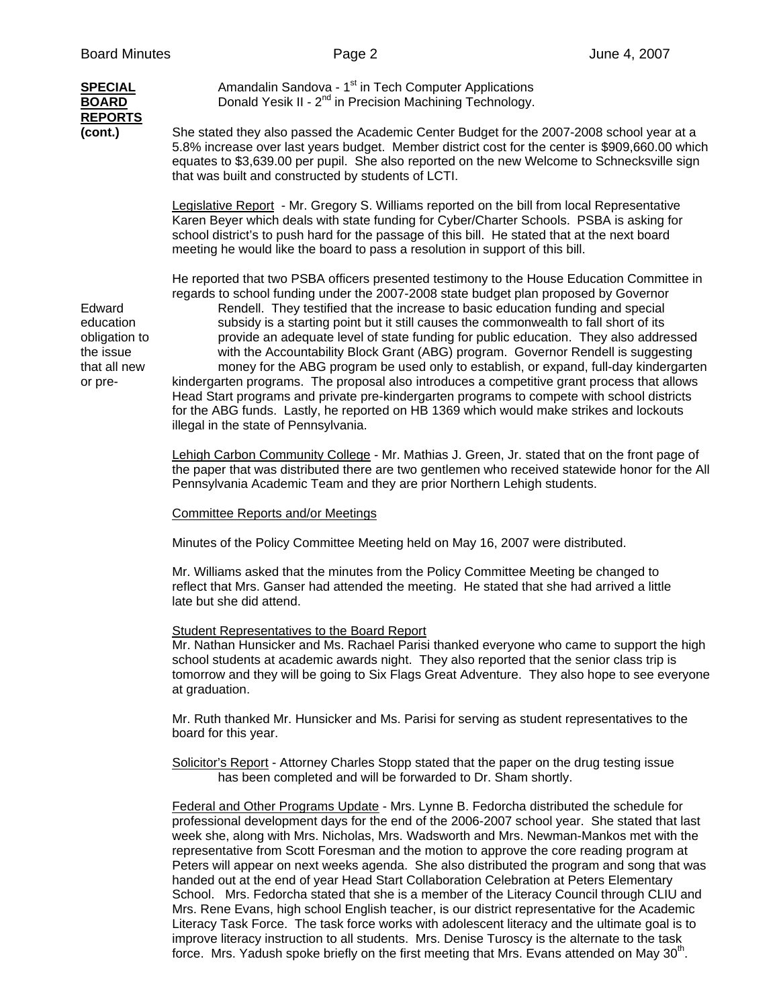| <b>Board Minutes</b>                                                         | Page 2                                                                                                                                                                                                                                                                                                                                                                                                                                                                                                                                                                                                                                                                                                                                                                                                                                                                                                                                                                 | June 4, 2007 |
|------------------------------------------------------------------------------|------------------------------------------------------------------------------------------------------------------------------------------------------------------------------------------------------------------------------------------------------------------------------------------------------------------------------------------------------------------------------------------------------------------------------------------------------------------------------------------------------------------------------------------------------------------------------------------------------------------------------------------------------------------------------------------------------------------------------------------------------------------------------------------------------------------------------------------------------------------------------------------------------------------------------------------------------------------------|--------------|
| <b>SPECIAL</b><br><b>BOARD</b><br><b>REPORTS</b>                             | Amandalin Sandova - 1 <sup>st</sup> in Tech Computer Applications<br>Donald Yesik II - 2 <sup>nd</sup> in Precision Machining Technology.                                                                                                                                                                                                                                                                                                                                                                                                                                                                                                                                                                                                                                                                                                                                                                                                                              |              |
| (cont.)                                                                      | She stated they also passed the Academic Center Budget for the 2007-2008 school year at a<br>5.8% increase over last years budget. Member district cost for the center is \$909,660.00 which<br>equates to \$3,639.00 per pupil. She also reported on the new Welcome to Schnecksville sign<br>that was built and constructed by students of LCTI.                                                                                                                                                                                                                                                                                                                                                                                                                                                                                                                                                                                                                     |              |
|                                                                              | Legislative Report - Mr. Gregory S. Williams reported on the bill from local Representative<br>Karen Beyer which deals with state funding for Cyber/Charter Schools. PSBA is asking for<br>school district's to push hard for the passage of this bill. He stated that at the next board<br>meeting he would like the board to pass a resolution in support of this bill.                                                                                                                                                                                                                                                                                                                                                                                                                                                                                                                                                                                              |              |
| Edward<br>education<br>obligation to<br>the issue<br>that all new<br>or pre- | He reported that two PSBA officers presented testimony to the House Education Committee in<br>regards to school funding under the 2007-2008 state budget plan proposed by Governor<br>Rendell. They testified that the increase to basic education funding and special<br>subsidy is a starting point but it still causes the commonwealth to fall short of its<br>provide an adequate level of state funding for public education. They also addressed<br>with the Accountability Block Grant (ABG) program. Governor Rendell is suggesting<br>money for the ABG program be used only to establish, or expand, full-day kindergarten<br>kindergarten programs. The proposal also introduces a competitive grant process that allows<br>Head Start programs and private pre-kindergarten programs to compete with school districts<br>for the ABG funds. Lastly, he reported on HB 1369 which would make strikes and lockouts<br>illegal in the state of Pennsylvania. |              |
|                                                                              | Lehigh Carbon Community College - Mr. Mathias J. Green, Jr. stated that on the front page of<br>the paper that was distributed there are two gentlemen who received statewide honor for the All<br>Pennsylvania Academic Team and they are prior Northern Lehigh students.                                                                                                                                                                                                                                                                                                                                                                                                                                                                                                                                                                                                                                                                                             |              |
|                                                                              | <b>Committee Reports and/or Meetings</b>                                                                                                                                                                                                                                                                                                                                                                                                                                                                                                                                                                                                                                                                                                                                                                                                                                                                                                                               |              |
|                                                                              | Minutes of the Policy Committee Meeting held on May 16, 2007 were distributed.                                                                                                                                                                                                                                                                                                                                                                                                                                                                                                                                                                                                                                                                                                                                                                                                                                                                                         |              |
|                                                                              | Mr. Williams asked that the minutes from the Policy Committee Meeting be changed to<br>reflect that Mrs. Ganser had attended the meeting. He stated that she had arrived a little<br>late but she did attend.                                                                                                                                                                                                                                                                                                                                                                                                                                                                                                                                                                                                                                                                                                                                                          |              |
|                                                                              | <b>Student Representatives to the Board Report</b><br>Mr. Nathan Hunsicker and Ms. Rachael Parisi thanked everyone who came to support the high<br>school students at academic awards night. They also reported that the senior class trip is<br>tomorrow and they will be going to Six Flags Great Adventure. They also hope to see everyone<br>at graduation.                                                                                                                                                                                                                                                                                                                                                                                                                                                                                                                                                                                                        |              |
|                                                                              | Mr. Ruth thanked Mr. Hunsicker and Ms. Parisi for serving as student representatives to the<br>board for this year.                                                                                                                                                                                                                                                                                                                                                                                                                                                                                                                                                                                                                                                                                                                                                                                                                                                    |              |
|                                                                              | Solicitor's Report - Attorney Charles Stopp stated that the paper on the drug testing issue<br>has been completed and will be forwarded to Dr. Sham shortly.                                                                                                                                                                                                                                                                                                                                                                                                                                                                                                                                                                                                                                                                                                                                                                                                           |              |
|                                                                              | Federal and Other Programs Update - Mrs. Lynne B. Fedorcha distributed the schedule for<br>professional development days for the end of the 2006-2007 school year. She stated that last<br>week she, along with Mrs. Nicholas, Mrs. Wadsworth and Mrs. Newman-Mankos met with the<br>representative from Scott Foresman and the motion to approve the core reading program at<br>Peters will appear on next weeks agenda. She also distributed the program and song that was                                                                                                                                                                                                                                                                                                                                                                                                                                                                                           |              |

 handed out at the end of year Head Start Collaboration Celebration at Peters Elementary School. Mrs. Fedorcha stated that she is a member of the Literacy Council through CLIU and Mrs. Rene Evans, high school English teacher, is our district representative for the Academic Literacy Task Force. The task force works with adolescent literacy and the ultimate goal is to improve literacy instruction to all students. Mrs. Denise Turoscy is the alternate to the task force. Mrs. Yadush spoke briefly on the first meeting that Mrs. Evans attended on May 30<sup>th</sup>.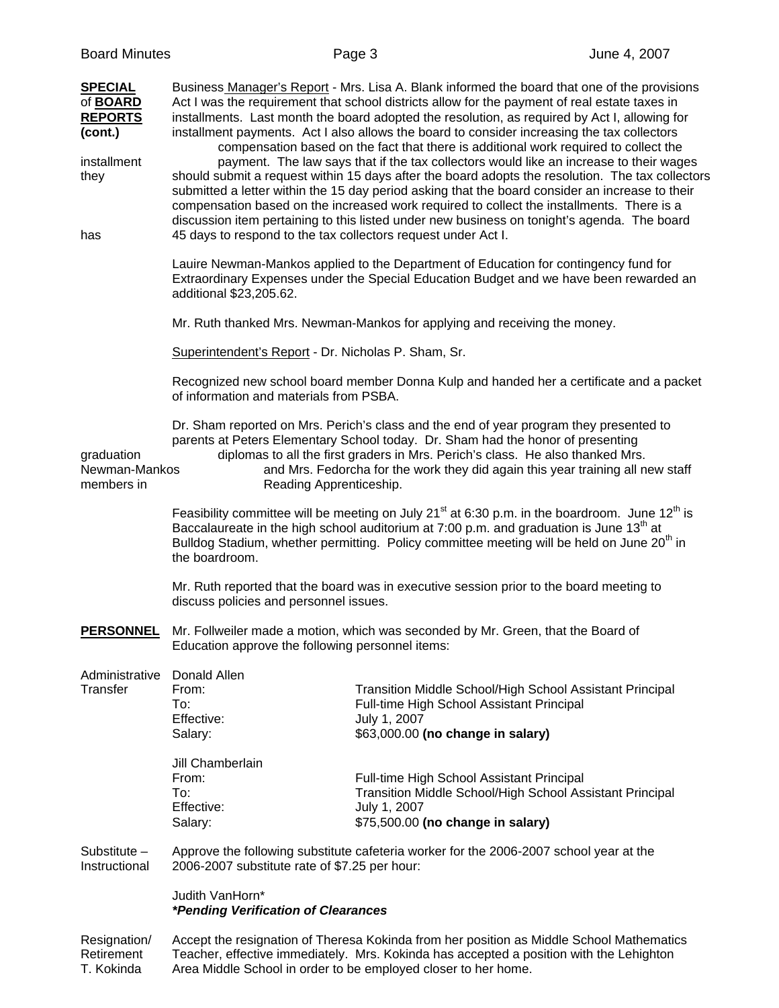| <b>SPECIAL</b><br>of <b>BOARD</b><br><b>REPORTS</b><br>(cont.)<br>installment<br>they |                                                               | Business Manager's Report - Mrs. Lisa A. Blank informed the board that one of the provisions<br>Act I was the requirement that school districts allow for the payment of real estate taxes in<br>installments. Last month the board adopted the resolution, as required by Act I, allowing for<br>installment payments. Act I also allows the board to consider increasing the tax collectors<br>compensation based on the fact that there is additional work required to collect the<br>payment. The law says that if the tax collectors would like an increase to their wages<br>should submit a request within 15 days after the board adopts the resolution. The tax collectors<br>submitted a letter within the 15 day period asking that the board consider an increase to their<br>compensation based on the increased work required to collect the installments. There is a<br>discussion item pertaining to this listed under new business on tonight's agenda. The board |
|---------------------------------------------------------------------------------------|---------------------------------------------------------------|------------------------------------------------------------------------------------------------------------------------------------------------------------------------------------------------------------------------------------------------------------------------------------------------------------------------------------------------------------------------------------------------------------------------------------------------------------------------------------------------------------------------------------------------------------------------------------------------------------------------------------------------------------------------------------------------------------------------------------------------------------------------------------------------------------------------------------------------------------------------------------------------------------------------------------------------------------------------------------|
| has                                                                                   | 45 days to respond to the tax collectors request under Act I. |                                                                                                                                                                                                                                                                                                                                                                                                                                                                                                                                                                                                                                                                                                                                                                                                                                                                                                                                                                                    |
|                                                                                       | additional \$23,205.62.                                       | Lauire Newman-Mankos applied to the Department of Education for contingency fund for<br>Extraordinary Expenses under the Special Education Budget and we have been rewarded an                                                                                                                                                                                                                                                                                                                                                                                                                                                                                                                                                                                                                                                                                                                                                                                                     |
|                                                                                       |                                                               | Mr. Ruth thanked Mrs. Newman-Mankos for applying and receiving the money.                                                                                                                                                                                                                                                                                                                                                                                                                                                                                                                                                                                                                                                                                                                                                                                                                                                                                                          |
|                                                                                       | Superintendent's Report - Dr. Nicholas P. Sham, Sr.           |                                                                                                                                                                                                                                                                                                                                                                                                                                                                                                                                                                                                                                                                                                                                                                                                                                                                                                                                                                                    |
|                                                                                       | of information and materials from PSBA.                       | Recognized new school board member Donna Kulp and handed her a certificate and a packet                                                                                                                                                                                                                                                                                                                                                                                                                                                                                                                                                                                                                                                                                                                                                                                                                                                                                            |
| graduation<br>Newman-Mankos<br>members in                                             | Reading Apprenticeship.                                       | Dr. Sham reported on Mrs. Perich's class and the end of year program they presented to<br>parents at Peters Elementary School today. Dr. Sham had the honor of presenting<br>diplomas to all the first graders in Mrs. Perich's class. He also thanked Mrs.<br>and Mrs. Fedorcha for the work they did again this year training all new staff                                                                                                                                                                                                                                                                                                                                                                                                                                                                                                                                                                                                                                      |
|                                                                                       | the boardroom.                                                | Feasibility committee will be meeting on July 21 <sup>st</sup> at 6:30 p.m. in the boardroom. June 12 <sup>th</sup> is<br>Baccalaureate in the high school auditorium at 7:00 p.m. and graduation is June 13 <sup>th</sup> at<br>Bulldog Stadium, whether permitting. Policy committee meeting will be held on June 20 <sup>th</sup> in                                                                                                                                                                                                                                                                                                                                                                                                                                                                                                                                                                                                                                            |
|                                                                                       | discuss policies and personnel issues.                        | Mr. Ruth reported that the board was in executive session prior to the board meeting to                                                                                                                                                                                                                                                                                                                                                                                                                                                                                                                                                                                                                                                                                                                                                                                                                                                                                            |
| <b>PERSONNEL</b>                                                                      | Education approve the following personnel items:              | Mr. Follweiler made a motion, which was seconded by Mr. Green, that the Board of                                                                                                                                                                                                                                                                                                                                                                                                                                                                                                                                                                                                                                                                                                                                                                                                                                                                                                   |
| Administrative<br>Transfer                                                            | Donald Allen<br>From:<br>To:<br>Effective:<br>Salary:         | Transition Middle School/High School Assistant Principal<br>Full-time High School Assistant Principal<br>July 1, 2007<br>\$63,000.00 (no change in salary)                                                                                                                                                                                                                                                                                                                                                                                                                                                                                                                                                                                                                                                                                                                                                                                                                         |
|                                                                                       | Jill Chamberlain<br>From:<br>To:<br>Effective:<br>Salary:     | Full-time High School Assistant Principal<br>Transition Middle School/High School Assistant Principal<br>July 1, 2007<br>\$75,500.00 (no change in salary)                                                                                                                                                                                                                                                                                                                                                                                                                                                                                                                                                                                                                                                                                                                                                                                                                         |
| Substitute $-$<br>Instructional                                                       | 2006-2007 substitute rate of \$7.25 per hour:                 | Approve the following substitute cafeteria worker for the 2006-2007 school year at the                                                                                                                                                                                                                                                                                                                                                                                                                                                                                                                                                                                                                                                                                                                                                                                                                                                                                             |
|                                                                                       | Judith VanHorn*<br><i>*Pending Verification of Clearances</i> |                                                                                                                                                                                                                                                                                                                                                                                                                                                                                                                                                                                                                                                                                                                                                                                                                                                                                                                                                                                    |
|                                                                                       |                                                               |                                                                                                                                                                                                                                                                                                                                                                                                                                                                                                                                                                                                                                                                                                                                                                                                                                                                                                                                                                                    |

Resignation/ Accept the resignation of Theresa Kokinda from her position as Middle School Mathematics Retirement Teacher, effective immediately. Mrs. Kokinda has accepted a position with the Lehighton T. Kokinda Area Middle School in order to be employed closer to her home.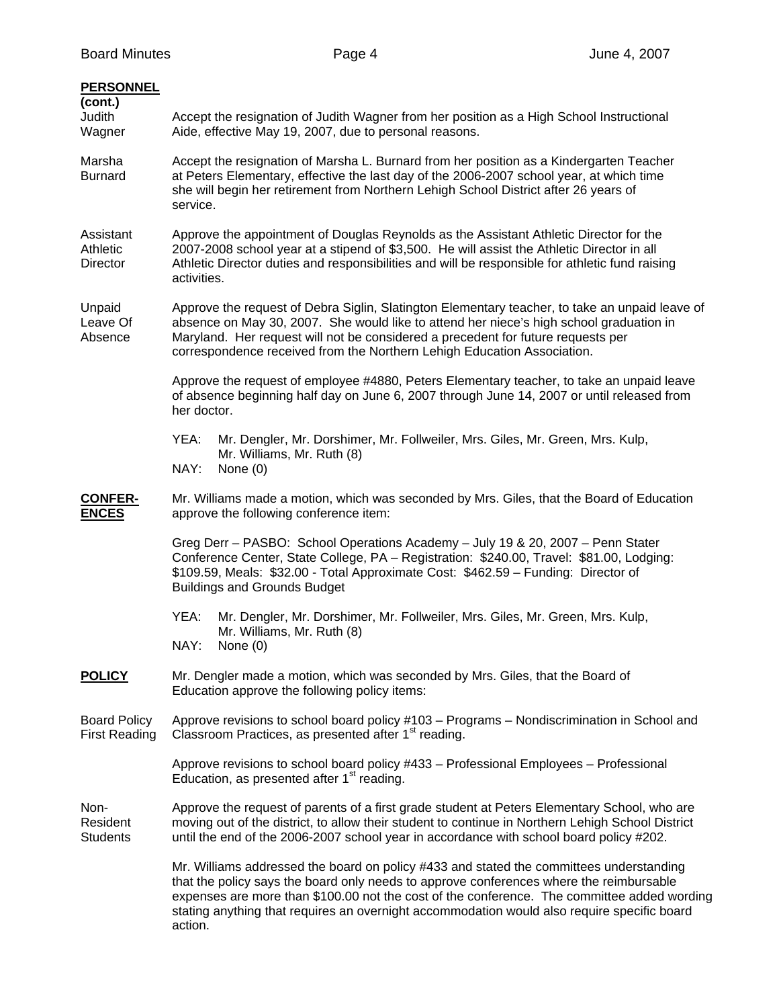| <b>PERSONNEL</b><br>(cont.)<br>Judith<br>Wagner | Accept the resignation of Judith Wagner from her position as a High School Instructional<br>Aide, effective May 19, 2007, due to personal reasons.                                                                                                                                                                                                                                          |  |
|-------------------------------------------------|---------------------------------------------------------------------------------------------------------------------------------------------------------------------------------------------------------------------------------------------------------------------------------------------------------------------------------------------------------------------------------------------|--|
| Marsha<br><b>Burnard</b>                        | Accept the resignation of Marsha L. Burnard from her position as a Kindergarten Teacher<br>at Peters Elementary, effective the last day of the 2006-2007 school year, at which time<br>she will begin her retirement from Northern Lehigh School District after 26 years of<br>service.                                                                                                     |  |
| Assistant<br>Athletic<br><b>Director</b>        | Approve the appointment of Douglas Reynolds as the Assistant Athletic Director for the<br>2007-2008 school year at a stipend of \$3,500. He will assist the Athletic Director in all<br>Athletic Director duties and responsibilities and will be responsible for athletic fund raising<br>activities.                                                                                      |  |
| Unpaid<br>Leave Of<br>Absence                   | Approve the request of Debra Siglin, Slatington Elementary teacher, to take an unpaid leave of<br>absence on May 30, 2007. She would like to attend her niece's high school graduation in<br>Maryland. Her request will not be considered a precedent for future requests per<br>correspondence received from the Northern Lehigh Education Association.                                    |  |
|                                                 | Approve the request of employee #4880, Peters Elementary teacher, to take an unpaid leave<br>of absence beginning half day on June 6, 2007 through June 14, 2007 or until released from<br>her doctor.                                                                                                                                                                                      |  |
|                                                 | YEA:<br>Mr. Dengler, Mr. Dorshimer, Mr. Follweiler, Mrs. Giles, Mr. Green, Mrs. Kulp,<br>Mr. Williams, Mr. Ruth (8)<br>NAY:<br>None $(0)$                                                                                                                                                                                                                                                   |  |
| <b>CONFER-</b><br><b>ENCES</b>                  | Mr. Williams made a motion, which was seconded by Mrs. Giles, that the Board of Education<br>approve the following conference item:                                                                                                                                                                                                                                                         |  |
|                                                 | Greg Derr - PASBO: School Operations Academy - July 19 & 20, 2007 - Penn Stater<br>Conference Center, State College, PA - Registration: \$240.00, Travel: \$81.00, Lodging:<br>\$109.59, Meals: \$32.00 - Total Approximate Cost: \$462.59 - Funding: Director of<br><b>Buildings and Grounds Budget</b>                                                                                    |  |
|                                                 | YEA:<br>Mr. Dengler, Mr. Dorshimer, Mr. Follweiler, Mrs. Giles, Mr. Green, Mrs. Kulp,<br>Mr. Williams, Mr. Ruth (8)<br>NAY:<br>None (0)                                                                                                                                                                                                                                                     |  |
| <b>POLICY</b>                                   | Mr. Dengler made a motion, which was seconded by Mrs. Giles, that the Board of<br>Education approve the following policy items:                                                                                                                                                                                                                                                             |  |
| <b>Board Policy</b><br><b>First Reading</b>     | Approve revisions to school board policy #103 – Programs – Nondiscrimination in School and<br>Classroom Practices, as presented after 1 <sup>st</sup> reading.                                                                                                                                                                                                                              |  |
|                                                 | Approve revisions to school board policy #433 - Professional Employees - Professional<br>Education, as presented after 1 <sup>st</sup> reading.                                                                                                                                                                                                                                             |  |
| Non-<br>Resident<br><b>Students</b>             | Approve the request of parents of a first grade student at Peters Elementary School, who are<br>moving out of the district, to allow their student to continue in Northern Lehigh School District<br>until the end of the 2006-2007 school year in accordance with school board policy #202.                                                                                                |  |
|                                                 | Mr. Williams addressed the board on policy #433 and stated the committees understanding<br>that the policy says the board only needs to approve conferences where the reimbursable<br>expenses are more than \$100.00 not the cost of the conference. The committee added wording<br>stating anything that requires an overnight accommodation would also require specific board<br>action. |  |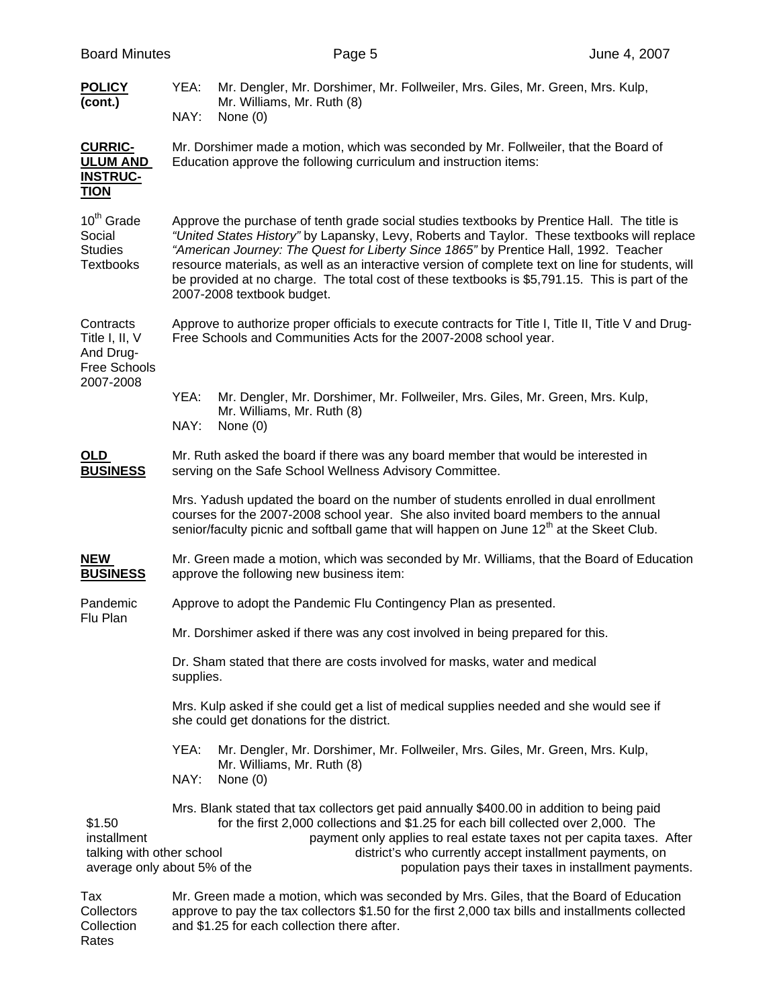| <b>Board Minutes</b>                                                               |              | Page 5                                                            |                                                                                                                                                                                                                                                                                                                                                                                                                                                                                           | June 4, 2007 |
|------------------------------------------------------------------------------------|--------------|-------------------------------------------------------------------|-------------------------------------------------------------------------------------------------------------------------------------------------------------------------------------------------------------------------------------------------------------------------------------------------------------------------------------------------------------------------------------------------------------------------------------------------------------------------------------------|--------------|
| <b>POLICY</b><br>(cont.)                                                           | YEA:<br>NAY: | Mr. Williams, Mr. Ruth (8)<br>None $(0)$                          | Mr. Dengler, Mr. Dorshimer, Mr. Follweiler, Mrs. Giles, Mr. Green, Mrs. Kulp,                                                                                                                                                                                                                                                                                                                                                                                                             |              |
| <b>CURRIC-</b><br><b>ULUM AND</b><br><b>INSTRUC-</b><br><b>TION</b>                |              | Education approve the following curriculum and instruction items: | Mr. Dorshimer made a motion, which was seconded by Mr. Follweiler, that the Board of                                                                                                                                                                                                                                                                                                                                                                                                      |              |
| 10 <sup>th</sup> Grade<br>Social<br><b>Studies</b><br><b>Textbooks</b>             |              | 2007-2008 textbook budget.                                        | Approve the purchase of tenth grade social studies textbooks by Prentice Hall. The title is<br>"United States History" by Lapansky, Levy, Roberts and Taylor. These textbooks will replace<br>"American Journey: The Quest for Liberty Since 1865" by Prentice Hall, 1992. Teacher<br>resource materials, as well as an interactive version of complete text on line for students, will<br>be provided at no charge. The total cost of these textbooks is \$5,791.15. This is part of the |              |
| Contracts<br>Title I, II, V<br>And Drug-<br>Free Schools<br>2007-2008              |              |                                                                   | Approve to authorize proper officials to execute contracts for Title I, Title II, Title V and Drug-<br>Free Schools and Communities Acts for the 2007-2008 school year.                                                                                                                                                                                                                                                                                                                   |              |
|                                                                                    | YEA:<br>NAY: | Mr. Williams, Mr. Ruth (8)<br>None $(0)$                          | Mr. Dengler, Mr. Dorshimer, Mr. Follweiler, Mrs. Giles, Mr. Green, Mrs. Kulp,                                                                                                                                                                                                                                                                                                                                                                                                             |              |
| OLD<br><b>BUSINESS</b>                                                             |              | serving on the Safe School Wellness Advisory Committee.           | Mr. Ruth asked the board if there was any board member that would be interested in                                                                                                                                                                                                                                                                                                                                                                                                        |              |
|                                                                                    |              |                                                                   | Mrs. Yadush updated the board on the number of students enrolled in dual enrollment<br>courses for the 2007-2008 school year. She also invited board members to the annual<br>senior/faculty picnic and softball game that will happen on June 12 <sup>th</sup> at the Skeet Club.                                                                                                                                                                                                        |              |
| <b>NEW</b><br><b>BUSINESS</b>                                                      |              | approve the following new business item:                          | Mr. Green made a motion, which was seconded by Mr. Williams, that the Board of Education                                                                                                                                                                                                                                                                                                                                                                                                  |              |
| Pandemic                                                                           |              |                                                                   | Approve to adopt the Pandemic Flu Contingency Plan as presented.                                                                                                                                                                                                                                                                                                                                                                                                                          |              |
| Flu Plan                                                                           |              |                                                                   | Mr. Dorshimer asked if there was any cost involved in being prepared for this.                                                                                                                                                                                                                                                                                                                                                                                                            |              |
|                                                                                    | supplies.    |                                                                   | Dr. Sham stated that there are costs involved for masks, water and medical                                                                                                                                                                                                                                                                                                                                                                                                                |              |
|                                                                                    |              | she could get donations for the district.                         | Mrs. Kulp asked if she could get a list of medical supplies needed and she would see if                                                                                                                                                                                                                                                                                                                                                                                                   |              |
|                                                                                    | YEA:<br>NAY: | Mr. Williams, Mr. Ruth (8)<br>None $(0)$                          | Mr. Dengler, Mr. Dorshimer, Mr. Follweiler, Mrs. Giles, Mr. Green, Mrs. Kulp,                                                                                                                                                                                                                                                                                                                                                                                                             |              |
| \$1.50<br>installment<br>talking with other school<br>average only about 5% of the |              |                                                                   | Mrs. Blank stated that tax collectors get paid annually \$400.00 in addition to being paid<br>for the first 2,000 collections and \$1.25 for each bill collected over 2,000. The<br>payment only applies to real estate taxes not per capita taxes. After<br>district's who currently accept installment payments, on<br>population pays their taxes in installment payments.                                                                                                             |              |
| Tax<br>Collectors<br>Collection                                                    |              | and \$1.25 for each collection there after.                       | Mr. Green made a motion, which was seconded by Mrs. Giles, that the Board of Education<br>approve to pay the tax collectors \$1.50 for the first 2,000 tax bills and installments collected                                                                                                                                                                                                                                                                                               |              |

Rates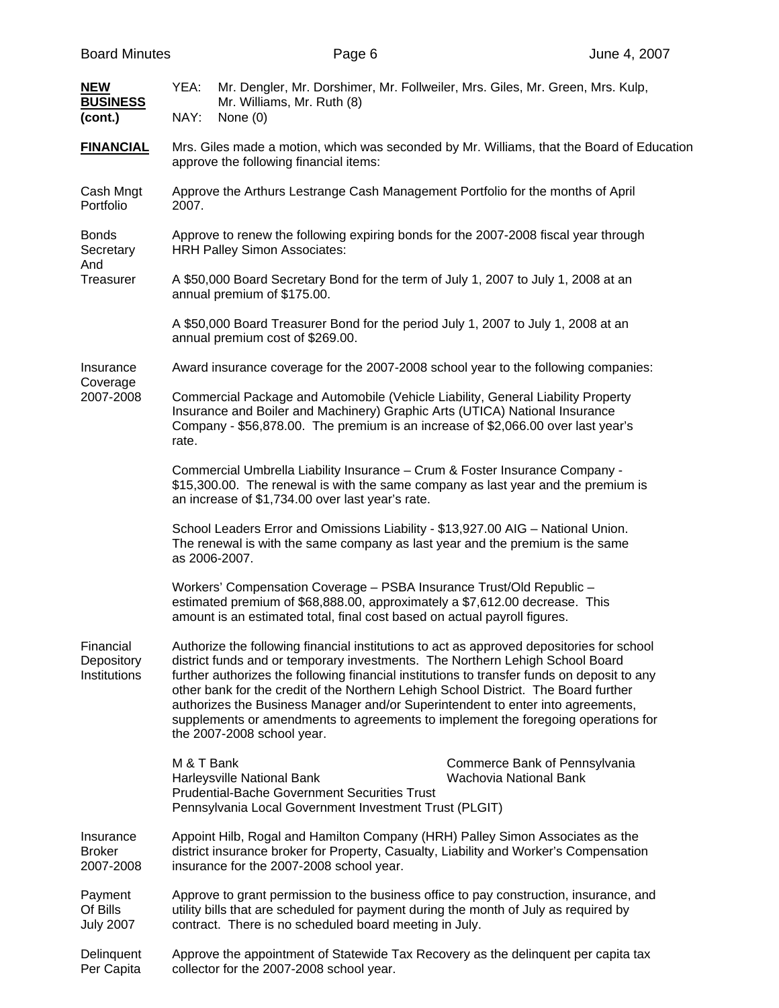| <b>Board Minutes</b>                     |                                                                                                                   | Page 6                                                                                                                                                                                                                                                                                                                                                                                                                                                                                                                                                                 |  | June 4, 2007                                                                              |  |
|------------------------------------------|-------------------------------------------------------------------------------------------------------------------|------------------------------------------------------------------------------------------------------------------------------------------------------------------------------------------------------------------------------------------------------------------------------------------------------------------------------------------------------------------------------------------------------------------------------------------------------------------------------------------------------------------------------------------------------------------------|--|-------------------------------------------------------------------------------------------|--|
| <b>NEW</b><br><b>BUSINESS</b><br>(cont.) | YEA:<br>NAY:                                                                                                      | Mr. Dengler, Mr. Dorshimer, Mr. Follweiler, Mrs. Giles, Mr. Green, Mrs. Kulp,<br>Mr. Williams, Mr. Ruth (8)<br>None (0)                                                                                                                                                                                                                                                                                                                                                                                                                                                |  |                                                                                           |  |
| <b>FINANCIAL</b>                         |                                                                                                                   | approve the following financial items:                                                                                                                                                                                                                                                                                                                                                                                                                                                                                                                                 |  | Mrs. Giles made a motion, which was seconded by Mr. Williams, that the Board of Education |  |
| Cash Mngt<br>Portfolio                   | 2007.                                                                                                             | Approve the Arthurs Lestrange Cash Management Portfolio for the months of April                                                                                                                                                                                                                                                                                                                                                                                                                                                                                        |  |                                                                                           |  |
| <b>Bonds</b><br>Secretary                |                                                                                                                   | Approve to renew the following expiring bonds for the 2007-2008 fiscal year through<br><b>HRH Palley Simon Associates:</b>                                                                                                                                                                                                                                                                                                                                                                                                                                             |  |                                                                                           |  |
| And<br>Treasurer                         | A \$50,000 Board Secretary Bond for the term of July 1, 2007 to July 1, 2008 at an<br>annual premium of \$175.00. |                                                                                                                                                                                                                                                                                                                                                                                                                                                                                                                                                                        |  |                                                                                           |  |
|                                          |                                                                                                                   | A \$50,000 Board Treasurer Bond for the period July 1, 2007 to July 1, 2008 at an<br>annual premium cost of \$269.00.                                                                                                                                                                                                                                                                                                                                                                                                                                                  |  |                                                                                           |  |
| Insurance                                |                                                                                                                   | Award insurance coverage for the 2007-2008 school year to the following companies:                                                                                                                                                                                                                                                                                                                                                                                                                                                                                     |  |                                                                                           |  |
| Coverage<br>2007-2008                    | rate.                                                                                                             | Commercial Package and Automobile (Vehicle Liability, General Liability Property<br>Insurance and Boiler and Machinery) Graphic Arts (UTICA) National Insurance<br>Company - \$56,878.00. The premium is an increase of \$2,066.00 over last year's                                                                                                                                                                                                                                                                                                                    |  |                                                                                           |  |
|                                          |                                                                                                                   | Commercial Umbrella Liability Insurance - Crum & Foster Insurance Company -<br>\$15,300.00. The renewal is with the same company as last year and the premium is<br>an increase of \$1,734.00 over last year's rate.                                                                                                                                                                                                                                                                                                                                                   |  |                                                                                           |  |
|                                          | as 2006-2007.                                                                                                     | School Leaders Error and Omissions Liability - \$13,927.00 AIG - National Union.<br>The renewal is with the same company as last year and the premium is the same                                                                                                                                                                                                                                                                                                                                                                                                      |  |                                                                                           |  |
|                                          |                                                                                                                   | Workers' Compensation Coverage - PSBA Insurance Trust/Old Republic -<br>estimated premium of \$68,888.00, approximately a \$7,612.00 decrease. This<br>amount is an estimated total, final cost based on actual payroll figures.                                                                                                                                                                                                                                                                                                                                       |  |                                                                                           |  |
| Financial<br>Depository<br>Institutions  |                                                                                                                   | Authorize the following financial institutions to act as approved depositories for school<br>district funds and or temporary investments. The Northern Lehigh School Board<br>further authorizes the following financial institutions to transfer funds on deposit to any<br>other bank for the credit of the Northern Lehigh School District. The Board further<br>authorizes the Business Manager and/or Superintendent to enter into agreements,<br>supplements or amendments to agreements to implement the foregoing operations for<br>the 2007-2008 school year. |  |                                                                                           |  |
|                                          | M & T Bank                                                                                                        | Harleysville National Bank<br><b>Prudential-Bache Government Securities Trust</b><br>Pennsylvania Local Government Investment Trust (PLGIT)                                                                                                                                                                                                                                                                                                                                                                                                                            |  | Commerce Bank of Pennsylvania<br>Wachovia National Bank                                   |  |
| Insurance<br><b>Broker</b><br>2007-2008  |                                                                                                                   | Appoint Hilb, Rogal and Hamilton Company (HRH) Palley Simon Associates as the<br>district insurance broker for Property, Casualty, Liability and Worker's Compensation<br>insurance for the 2007-2008 school year.                                                                                                                                                                                                                                                                                                                                                     |  |                                                                                           |  |
| Payment<br>Of Bills<br><b>July 2007</b>  |                                                                                                                   | Approve to grant permission to the business office to pay construction, insurance, and<br>utility bills that are scheduled for payment during the month of July as required by<br>contract. There is no scheduled board meeting in July.                                                                                                                                                                                                                                                                                                                               |  |                                                                                           |  |
| Delinquent<br>Per Capita                 |                                                                                                                   | Approve the appointment of Statewide Tax Recovery as the delinquent per capita tax<br>collector for the 2007-2008 school year.                                                                                                                                                                                                                                                                                                                                                                                                                                         |  |                                                                                           |  |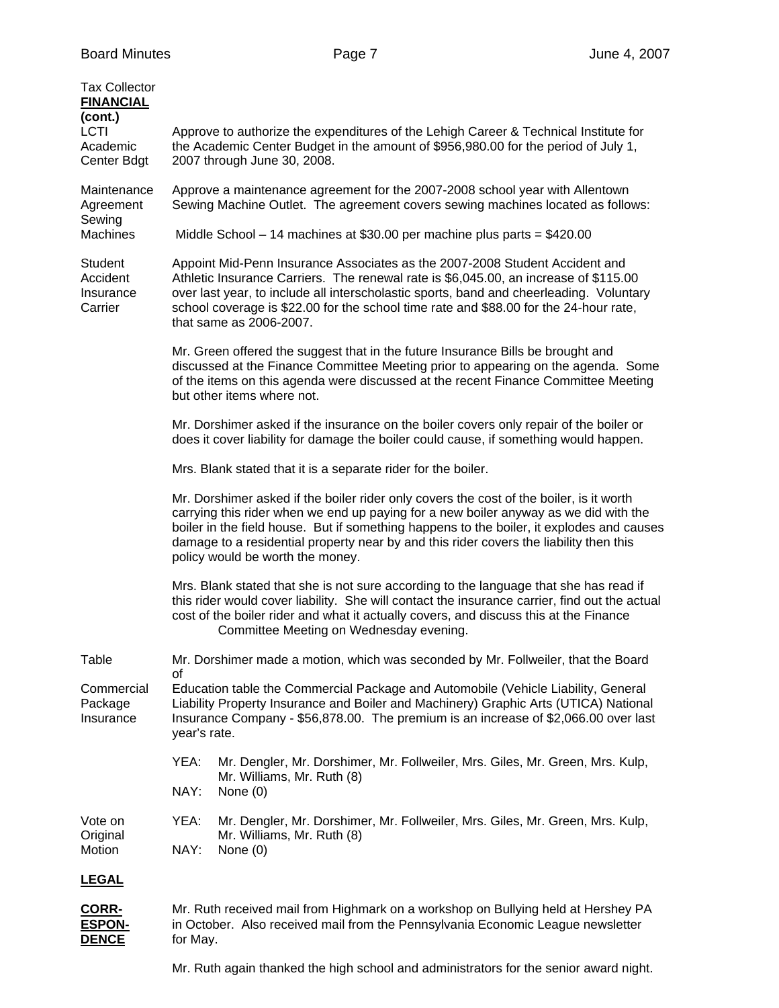| <b>Tax Collector</b><br><b>FINANCIAL</b><br>(cont.)<br><b>LCTI</b><br>Academic<br>Center Bdgt | Approve to authorize the expenditures of the Lehigh Career & Technical Institute for<br>the Academic Center Budget in the amount of \$956,980.00 for the period of July 1,<br>2007 through June 30, 2008.                                                                                                                                                                                                  |
|-----------------------------------------------------------------------------------------------|------------------------------------------------------------------------------------------------------------------------------------------------------------------------------------------------------------------------------------------------------------------------------------------------------------------------------------------------------------------------------------------------------------|
| Maintenance<br>Agreement                                                                      | Approve a maintenance agreement for the 2007-2008 school year with Allentown<br>Sewing Machine Outlet. The agreement covers sewing machines located as follows:                                                                                                                                                                                                                                            |
| Sewing<br><b>Machines</b>                                                                     | Middle School $-14$ machines at \$30.00 per machine plus parts = \$420.00                                                                                                                                                                                                                                                                                                                                  |
| Student<br>Accident<br>Insurance<br>Carrier                                                   | Appoint Mid-Penn Insurance Associates as the 2007-2008 Student Accident and<br>Athletic Insurance Carriers. The renewal rate is \$6,045.00, an increase of \$115.00<br>over last year, to include all interscholastic sports, band and cheerleading. Voluntary<br>school coverage is \$22.00 for the school time rate and \$88.00 for the 24-hour rate,<br>that same as 2006-2007.                         |
|                                                                                               | Mr. Green offered the suggest that in the future Insurance Bills be brought and<br>discussed at the Finance Committee Meeting prior to appearing on the agenda. Some<br>of the items on this agenda were discussed at the recent Finance Committee Meeting<br>but other items where not.                                                                                                                   |
|                                                                                               | Mr. Dorshimer asked if the insurance on the boiler covers only repair of the boiler or<br>does it cover liability for damage the boiler could cause, if something would happen.                                                                                                                                                                                                                            |
|                                                                                               | Mrs. Blank stated that it is a separate rider for the boiler.                                                                                                                                                                                                                                                                                                                                              |
|                                                                                               | Mr. Dorshimer asked if the boiler rider only covers the cost of the boiler, is it worth<br>carrying this rider when we end up paying for a new boiler anyway as we did with the<br>boiler in the field house. But if something happens to the boiler, it explodes and causes<br>damage to a residential property near by and this rider covers the liability then this<br>policy would be worth the money. |
|                                                                                               | Mrs. Blank stated that she is not sure according to the language that she has read if<br>this rider would cover liability. She will contact the insurance carrier, find out the actual<br>cost of the boiler rider and what it actually covers, and discuss this at the Finance<br>Committee Meeting on Wednesday evening.                                                                                 |
| Table                                                                                         | Mr. Dorshimer made a motion, which was seconded by Mr. Follweiler, that the Board<br>of                                                                                                                                                                                                                                                                                                                    |
| Commercial<br>Package<br>Insurance                                                            | Education table the Commercial Package and Automobile (Vehicle Liability, General<br>Liability Property Insurance and Boiler and Machinery) Graphic Arts (UTICA) National<br>Insurance Company - \$56,878.00. The premium is an increase of \$2,066.00 over last<br>year's rate.                                                                                                                           |
|                                                                                               | YEA:<br>Mr. Dengler, Mr. Dorshimer, Mr. Follweiler, Mrs. Giles, Mr. Green, Mrs. Kulp,                                                                                                                                                                                                                                                                                                                      |
|                                                                                               | Mr. Williams, Mr. Ruth (8)<br>NAY:<br>None $(0)$                                                                                                                                                                                                                                                                                                                                                           |
| Vote on<br>Original<br>Motion                                                                 | YEA:<br>Mr. Dengler, Mr. Dorshimer, Mr. Follweiler, Mrs. Giles, Mr. Green, Mrs. Kulp,<br>Mr. Williams, Mr. Ruth (8)<br>NAY:<br>None $(0)$                                                                                                                                                                                                                                                                  |
| <u>LEGAL</u>                                                                                  |                                                                                                                                                                                                                                                                                                                                                                                                            |
| CORR-                                                                                         | Mr. Ruth received mail from Highmark on a workshop on Bullying held at Hershey PA                                                                                                                                                                                                                                                                                                                          |
| <b>ESPON-</b><br><b>DENCE</b>                                                                 | in October. Also received mail from the Pennsylvania Economic League newsletter<br>for May.                                                                                                                                                                                                                                                                                                                |

Mr. Ruth again thanked the high school and administrators for the senior award night.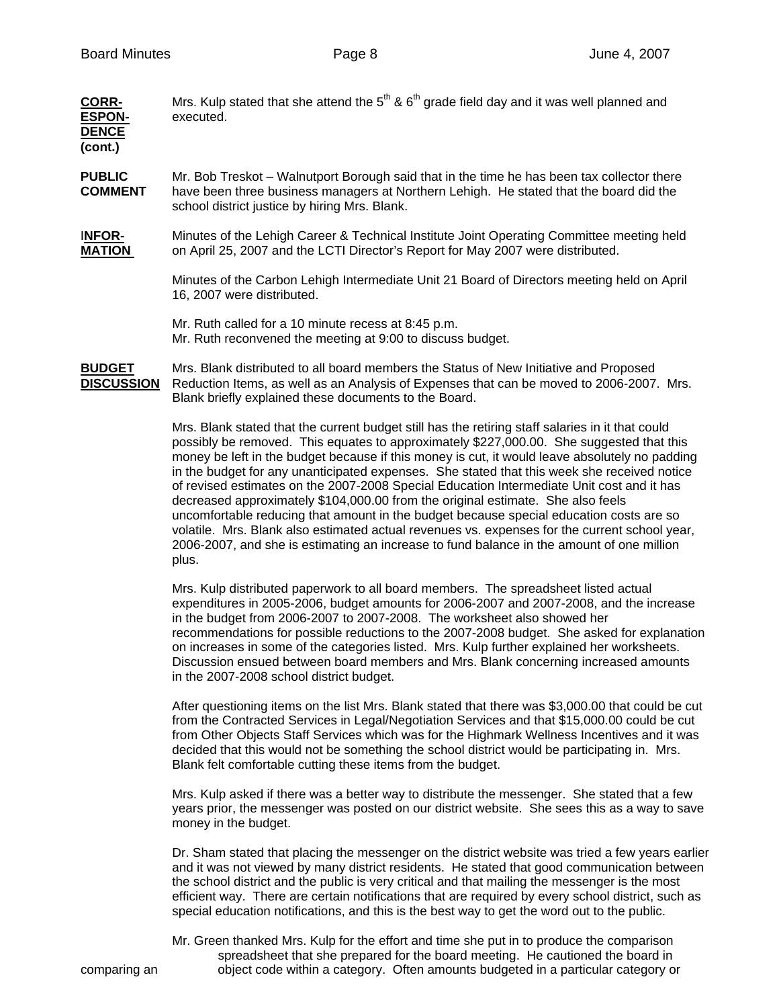| <b>CORR-</b><br><b>ESPON-</b><br><b>DENCE</b><br>(cont.) | Mrs. Kulp stated that she attend the $5th$ & $6th$ grade field day and it was well planned and<br>executed.                                                                                                                           |
|----------------------------------------------------------|---------------------------------------------------------------------------------------------------------------------------------------------------------------------------------------------------------------------------------------|
| <b>PUBLIC</b><br><b>COMMENT</b>                          | Mr. Bob Treskot – Walnutport Borough said that in the time he has been tax collector there<br>have been three business managers at Northern Lehigh. He stated that the board did the<br>school district justice by hiring Mrs. Blank. |
| <b>INFOR-</b><br><b>MATION</b>                           | Minutes of the Lehigh Career & Technical Institute Joint Operating Committee meeting held<br>on April 25, 2007 and the LCTI Director's Report for May 2007 were distributed.                                                          |
|                                                          | Minutes of the Carbon Lehigh Intermediate Unit 21 Board of Directors meeting held on April<br>16, 2007 were distributed.                                                                                                              |
|                                                          | Mr. Ruth called for a 10 minute recess at 8:45 p.m.                                                                                                                                                                                   |

Mr. Ruth reconvened the meeting at 9:00 to discuss budget.

**BUDGET** Mrs. Blank distributed to all board members the Status of New Initiative and Proposed **DISCUSSION** Reduction Items, as well as an Analysis of Expenses that can be moved to 2006-2007. Mrs. Blank briefly explained these documents to the Board.

> Mrs. Blank stated that the current budget still has the retiring staff salaries in it that could possibly be removed. This equates to approximately \$227,000.00. She suggested that this money be left in the budget because if this money is cut, it would leave absolutely no padding in the budget for any unanticipated expenses. She stated that this week she received notice of revised estimates on the 2007-2008 Special Education Intermediate Unit cost and it has decreased approximately \$104,000.00 from the original estimate. She also feels uncomfortable reducing that amount in the budget because special education costs are so volatile. Mrs. Blank also estimated actual revenues vs. expenses for the current school year, 2006-2007, and she is estimating an increase to fund balance in the amount of one million plus.

 Mrs. Kulp distributed paperwork to all board members. The spreadsheet listed actual expenditures in 2005-2006, budget amounts for 2006-2007 and 2007-2008, and the increase in the budget from 2006-2007 to 2007-2008. The worksheet also showed her recommendations for possible reductions to the 2007-2008 budget. She asked for explanation on increases in some of the categories listed. Mrs. Kulp further explained her worksheets. Discussion ensued between board members and Mrs. Blank concerning increased amounts in the 2007-2008 school district budget.

 After questioning items on the list Mrs. Blank stated that there was \$3,000.00 that could be cut from the Contracted Services in Legal/Negotiation Services and that \$15,000.00 could be cut from Other Objects Staff Services which was for the Highmark Wellness Incentives and it was decided that this would not be something the school district would be participating in. Mrs. Blank felt comfortable cutting these items from the budget.

 Mrs. Kulp asked if there was a better way to distribute the messenger. She stated that a few years prior, the messenger was posted on our district website. She sees this as a way to save money in the budget.

 Dr. Sham stated that placing the messenger on the district website was tried a few years earlier and it was not viewed by many district residents. He stated that good communication between the school district and the public is very critical and that mailing the messenger is the most efficient way. There are certain notifications that are required by every school district, such as special education notifications, and this is the best way to get the word out to the public.

 Mr. Green thanked Mrs. Kulp for the effort and time she put in to produce the comparison spreadsheet that she prepared for the board meeting. He cautioned the board in comparing an object code within a category. Often amounts budgeted in a particular category or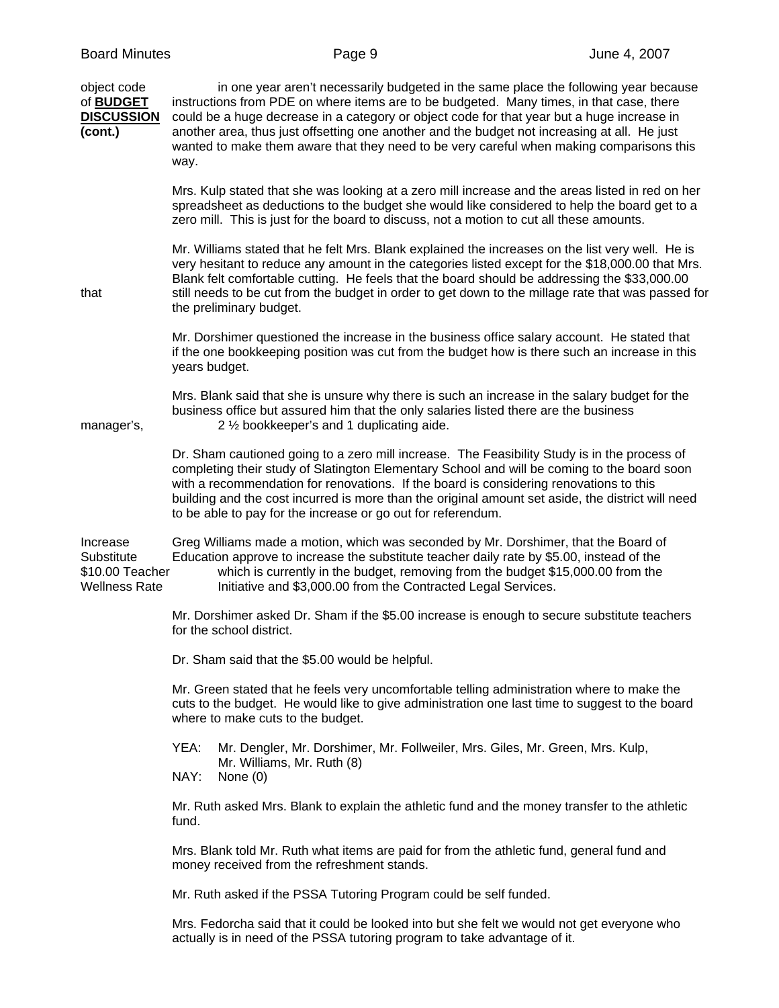| object code<br>of <b>BUDGET</b><br><b>DISCUSSION</b><br>(cont.)   | in one year aren't necessarily budgeted in the same place the following year because<br>instructions from PDE on where items are to be budgeted. Many times, in that case, there<br>could be a huge decrease in a category or object code for that year but a huge increase in<br>another area, thus just offsetting one another and the budget not increasing at all. He just<br>wanted to make them aware that they need to be very careful when making comparisons this<br>way. |
|-------------------------------------------------------------------|------------------------------------------------------------------------------------------------------------------------------------------------------------------------------------------------------------------------------------------------------------------------------------------------------------------------------------------------------------------------------------------------------------------------------------------------------------------------------------|
|                                                                   | Mrs. Kulp stated that she was looking at a zero mill increase and the areas listed in red on her<br>spreadsheet as deductions to the budget she would like considered to help the board get to a<br>zero mill. This is just for the board to discuss, not a motion to cut all these amounts.                                                                                                                                                                                       |
| that                                                              | Mr. Williams stated that he felt Mrs. Blank explained the increases on the list very well. He is<br>very hesitant to reduce any amount in the categories listed except for the \$18,000.00 that Mrs.<br>Blank felt comfortable cutting. He feels that the board should be addressing the \$33,000.00<br>still needs to be cut from the budget in order to get down to the millage rate that was passed for<br>the preliminary budget.                                              |
|                                                                   | Mr. Dorshimer questioned the increase in the business office salary account. He stated that<br>if the one bookkeeping position was cut from the budget how is there such an increase in this<br>years budget.                                                                                                                                                                                                                                                                      |
| manager's,                                                        | Mrs. Blank said that she is unsure why there is such an increase in the salary budget for the<br>business office but assured him that the only salaries listed there are the business<br>2 1/2 bookkeeper's and 1 duplicating aide.                                                                                                                                                                                                                                                |
|                                                                   | Dr. Sham cautioned going to a zero mill increase. The Feasibility Study is in the process of<br>completing their study of Slatington Elementary School and will be coming to the board soon<br>with a recommendation for renovations. If the board is considering renovations to this<br>building and the cost incurred is more than the original amount set aside, the district will need<br>to be able to pay for the increase or go out for referendum.                         |
| Increase<br>Substitute<br>\$10.00 Teacher<br><b>Wellness Rate</b> | Greg Williams made a motion, which was seconded by Mr. Dorshimer, that the Board of<br>Education approve to increase the substitute teacher daily rate by \$5.00, instead of the<br>which is currently in the budget, removing from the budget \$15,000.00 from the<br>Initiative and \$3,000.00 from the Contracted Legal Services.                                                                                                                                               |
|                                                                   | Mr. Dorshimer asked Dr. Sham if the \$5.00 increase is enough to secure substitute teachers<br>for the school district.                                                                                                                                                                                                                                                                                                                                                            |
|                                                                   | Dr. Sham said that the \$5.00 would be helpful.                                                                                                                                                                                                                                                                                                                                                                                                                                    |
|                                                                   | Mr. Green stated that he feels very uncomfortable telling administration where to make the<br>cuts to the budget. He would like to give administration one last time to suggest to the board<br>where to make cuts to the budget.                                                                                                                                                                                                                                                  |
|                                                                   | YEA:<br>Mr. Dengler, Mr. Dorshimer, Mr. Follweiler, Mrs. Giles, Mr. Green, Mrs. Kulp,<br>Mr. Williams, Mr. Ruth (8)<br>NAY:<br>None $(0)$                                                                                                                                                                                                                                                                                                                                          |
|                                                                   | Mr. Ruth asked Mrs. Blank to explain the athletic fund and the money transfer to the athletic<br>fund.                                                                                                                                                                                                                                                                                                                                                                             |
|                                                                   | Mrs. Blank told Mr. Ruth what items are paid for from the athletic fund, general fund and<br>money received from the refreshment stands.                                                                                                                                                                                                                                                                                                                                           |
|                                                                   | Mr. Ruth asked if the PSSA Tutoring Program could be self funded.                                                                                                                                                                                                                                                                                                                                                                                                                  |
|                                                                   | Mrs. Fedorcha said that it could be looked into but she felt we would not get everyone who<br>actually is in need of the PSSA tutoring program to take advantage of it.                                                                                                                                                                                                                                                                                                            |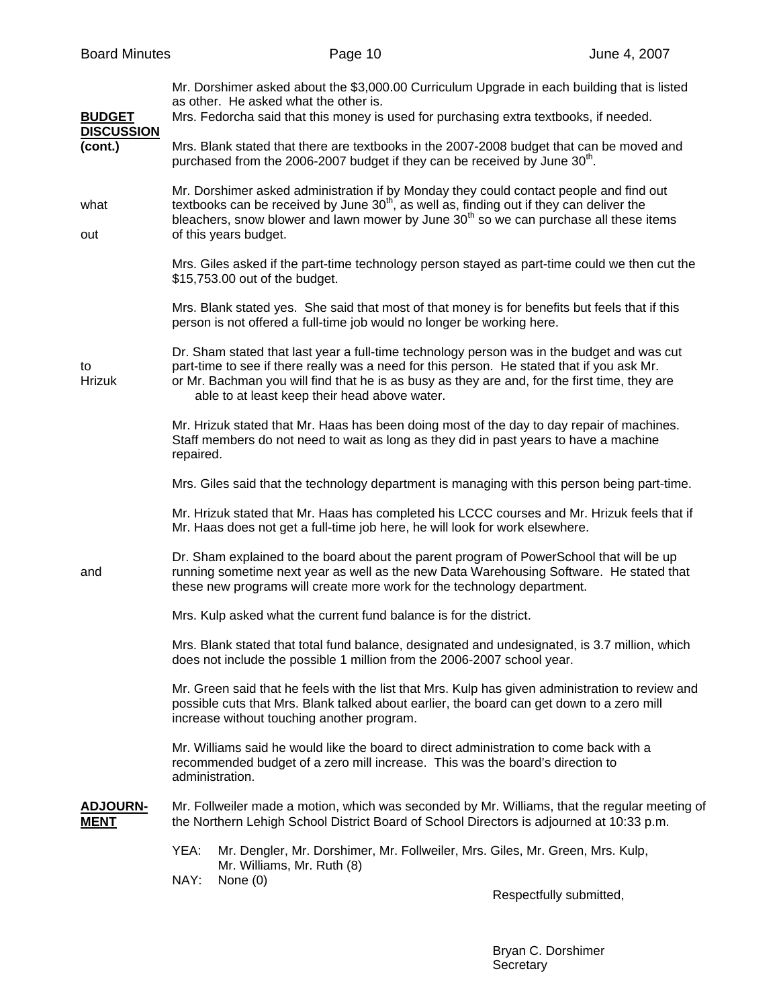| <b>BUDGET</b><br><b>DISCUSSION</b><br>(cont.) | Mr. Dorshimer asked about the \$3,000.00 Curriculum Upgrade in each building that is listed<br>as other. He asked what the other is.<br>Mrs. Fedorcha said that this money is used for purchasing extra textbooks, if needed.                                                                                                              |
|-----------------------------------------------|--------------------------------------------------------------------------------------------------------------------------------------------------------------------------------------------------------------------------------------------------------------------------------------------------------------------------------------------|
|                                               | Mrs. Blank stated that there are textbooks in the 2007-2008 budget that can be moved and<br>purchased from the 2006-2007 budget if they can be received by June 30 <sup>th</sup> .                                                                                                                                                         |
| what<br>out                                   | Mr. Dorshimer asked administration if by Monday they could contact people and find out<br>textbooks can be received by June 30 <sup>th</sup> , as well as, finding out if they can deliver the<br>bleachers, snow blower and lawn mower by June 30 <sup>th</sup> so we can purchase all these items<br>of this years budget.               |
|                                               | Mrs. Giles asked if the part-time technology person stayed as part-time could we then cut the<br>\$15,753.00 out of the budget.                                                                                                                                                                                                            |
|                                               | Mrs. Blank stated yes. She said that most of that money is for benefits but feels that if this<br>person is not offered a full-time job would no longer be working here.                                                                                                                                                                   |
| to<br><b>Hrizuk</b>                           | Dr. Sham stated that last year a full-time technology person was in the budget and was cut<br>part-time to see if there really was a need for this person. He stated that if you ask Mr.<br>or Mr. Bachman you will find that he is as busy as they are and, for the first time, they are<br>able to at least keep their head above water. |
|                                               | Mr. Hrizuk stated that Mr. Haas has been doing most of the day to day repair of machines.<br>Staff members do not need to wait as long as they did in past years to have a machine<br>repaired.                                                                                                                                            |
|                                               | Mrs. Giles said that the technology department is managing with this person being part-time.                                                                                                                                                                                                                                               |
|                                               | Mr. Hrizuk stated that Mr. Haas has completed his LCCC courses and Mr. Hrizuk feels that if<br>Mr. Haas does not get a full-time job here, he will look for work elsewhere.                                                                                                                                                                |
| and                                           | Dr. Sham explained to the board about the parent program of PowerSchool that will be up<br>running sometime next year as well as the new Data Warehousing Software. He stated that<br>these new programs will create more work for the technology department.                                                                              |
|                                               | Mrs. Kulp asked what the current fund balance is for the district.                                                                                                                                                                                                                                                                         |
|                                               | Mrs. Blank stated that total fund balance, designated and undesignated, is 3.7 million, which<br>does not include the possible 1 million from the 2006-2007 school year.                                                                                                                                                                   |
|                                               | Mr. Green said that he feels with the list that Mrs. Kulp has given administration to review and<br>possible cuts that Mrs. Blank talked about earlier, the board can get down to a zero mill<br>increase without touching another program.                                                                                                |
|                                               | Mr. Williams said he would like the board to direct administration to come back with a<br>recommended budget of a zero mill increase. This was the board's direction to<br>administration.                                                                                                                                                 |
| <b>ADJOURN-</b><br><b>MENT</b>                | Mr. Follweiler made a motion, which was seconded by Mr. Williams, that the regular meeting of<br>the Northern Lehigh School District Board of School Directors is adjourned at 10:33 p.m.                                                                                                                                                  |
|                                               | YEA:<br>Mr. Dengler, Mr. Dorshimer, Mr. Follweiler, Mrs. Giles, Mr. Green, Mrs. Kulp,<br>Mr. Williams, Mr. Ruth (8)<br>NAY:<br>None $(0)$                                                                                                                                                                                                  |
|                                               | Respectfully submitted,                                                                                                                                                                                                                                                                                                                    |